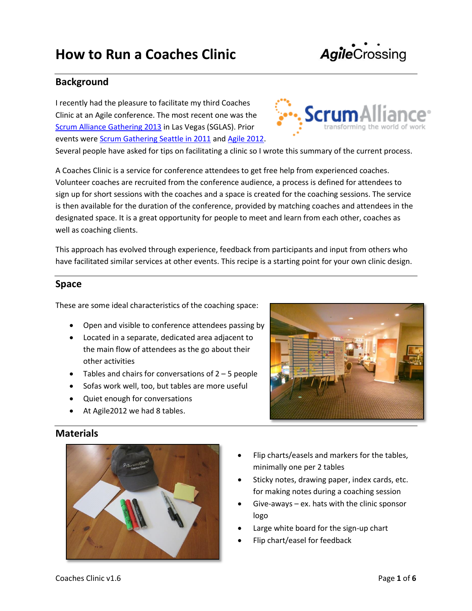# **How to Run a Coaches Clinic**

# **Background**

I recently had the pleasure to facilitate my third Coaches Clinic at an Agile conference. The most recent one was the [Scrum Alliance Gathering 2013](https://plus.google.com/photos/103131889552184917118/albums/5885047488838404977) in Las Vegas (SGLAS). Prior events were **Scrum Gathering Seattle in 2011** an[d Agile 2012.](https://plus.google.com/photos/103131889552184917118/albums/5776373826831279313?banner=pwa)

Several people have asked for tips on facilitating a clinic so I wrote this summary of the current process.

A Coaches Clinic is a service for conference attendees to get free help from experienced coaches. Volunteer coaches are recruited from the conference audience, a process is defined for attendees to sign up for short sessions with the coaches and a space is created for the coaching sessions. The service is then available for the duration of the conference, provided by matching coaches and attendees in the designated space. It is a great opportunity for people to meet and learn from each other, coaches as well as coaching clients.

This approach has evolved through experience, feedback from participants and input from others who have facilitated similar services at other events. This recipe is a starting point for your own clinic design.

### **Space**

These are some ideal characteristics of the coaching space:

- Open and visible to conference attendees passing by
- Located in a separate, dedicated area adjacent to the main flow of attendees as the go about their other activities
- $\bullet$  Tables and chairs for conversations of 2 5 people
- Sofas work well, too, but tables are more useful
- Quiet enough for conversations
- At Agile2012 we had 8 tables.



- Flip charts/easels and markers for the tables, minimally one per 2 tables
- Sticky notes, drawing paper, index cards, etc. for making notes during a coaching session
- Give-aways ex. hats with the clinic sponsor logo
- Large white board for the sign-up chart
- Flip chart/easel for feedback







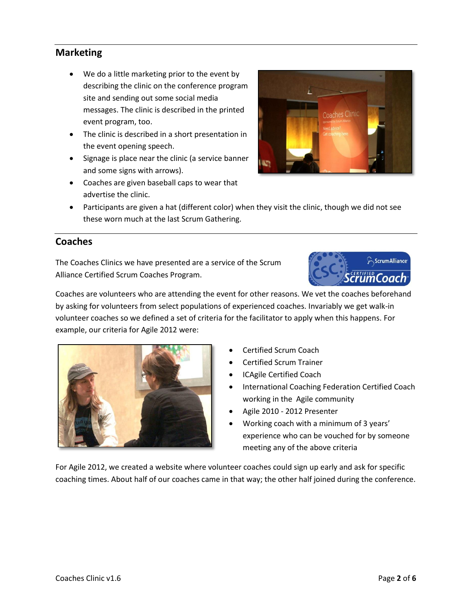# **Marketing**

- We do a little marketing prior to the event by describing the clinic on the conference program site and sending out some social media messages. The clinic is described in the printed event program, too.
- The clinic is described in a short presentation in the event opening speech.
- Signage is place near the clinic (a service banner and some signs with arrows).
- Coaches are given baseball caps to wear that advertise the clinic.

these worn much at the last Scrum Gathering.



## **Coaches**

The Coaches Clinics we have presented are a service of the Scrum Alliance Certified Scrum Coaches Program.



Coaches are volunteers who are attending the event for other reasons. We vet the coaches beforehand by asking for volunteers from select populations of experienced coaches. Invariably we get walk-in volunteer coaches so we defined a set of criteria for the facilitator to apply when this happens. For example, our criteria for Agile 2012 were:



- Certified Scrum Coach
- Certified Scrum Trainer
- ICAgile Certified Coach
- International Coaching Federation Certified Coach working in the Agile community
- Agile 2010 2012 Presenter
- Working coach with a minimum of 3 years' experience who can be vouched for by someone meeting any of the above criteria

For Agile 2012, we created a website where volunteer coaches could sign up early and ask for specific coaching times. About half of our coaches came in that way; the other half joined during the conference.

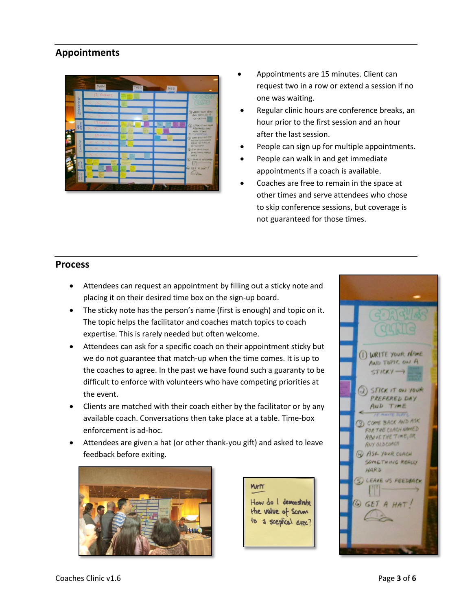# **Appointments**



- Appointments are 15 minutes. Client can request two in a row or extend a session if no one was waiting.
- Regular clinic hours are conference breaks, an hour prior to the first session and an hour after the last session.
- People can sign up for multiple appointments.
- People can walk in and get immediate appointments if a coach is available.
- Coaches are free to remain in the space at other times and serve attendees who chose to skip conference sessions, but coverage is not guaranteed for those times.

### **Process**

- Attendees can request an appointment by filling out a sticky note and placing it on their desired time box on the sign-up board.
- The sticky note has the person's name (first is enough) and topic on it. The topic helps the facilitator and coaches match topics to coach expertise. This is rarely needed but often welcome.
- Attendees can ask for a specific coach on their appointment sticky but we do not guarantee that match-up when the time comes. It is up to the coaches to agree. In the past we have found such a guaranty to be difficult to enforce with volunteers who have competing priorities at the event.
- Clients are matched with their coach either by the facilitator or by any available coach. Conversations then take place at a table. Time-box enforcement is ad-hoc.
- Attendees are given a hat (or other thank-you gift) and asked to leave feedback before exiting.



MATT How do I demonstrate the value of Scrim to a sceptical exec?

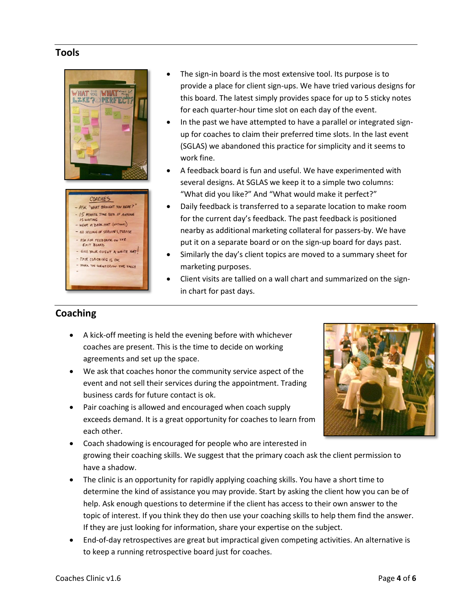### **Tools**



- The sign-in board is the most extensive tool. Its purpose is to provide a place for client sign-ups. We have tried various designs for this board. The latest simply provides space for up to 5 sticky notes for each quarter-hour time slot on each day of the event.
- In the past we have attempted to have a parallel or integrated signup for coaches to claim their preferred time slots. In the last event (SGLAS) we abandoned this practice for simplicity and it seems to work fine.
- A feedback board is fun and useful. We have experimented with several designs. At SGLAS we keep it to a simple two columns: "What did you like?" And "What would make it perfect?"
- Daily feedback is transferred to a separate location to make room for the current day's feedback. The past feedback is positioned nearby as additional marketing collateral for passers-by. We have put it on a separate board or on the sign-up board for days past.
- Similarly the day's client topics are moved to a summary sheet for marketing purposes.
- Client visits are tallied on a wall chart and summarized on the signin chart for past days.

# **Coaching**

- A kick-off meeting is held the evening before with whichever coaches are present. This is the time to decide on working agreements and set up the space.
- We ask that coaches honor the community service aspect of the event and not sell their services during the appointment. Trading business cards for future contact is ok.
- Pair coaching is allowed and encouraged when coach supply exceeds demand. It is a great opportunity for coaches to learn from each other.



- Coach shadowing is encouraged for people who are interested in growing their coaching skills. We suggest that the primary coach ask the client permission to have a shadow.
- The clinic is an opportunity for rapidly applying coaching skills. You have a short time to determine the kind of assistance you may provide. Start by asking the client how you can be of help. Ask enough questions to determine if the client has access to their own answer to the topic of interest. If you think they do then use your coaching skills to help them find the answer. If they are just looking for information, share your expertise on the subject.
- End-of-day retrospectives are great but impractical given competing activities. An alternative is to keep a running retrospective board just for coaches.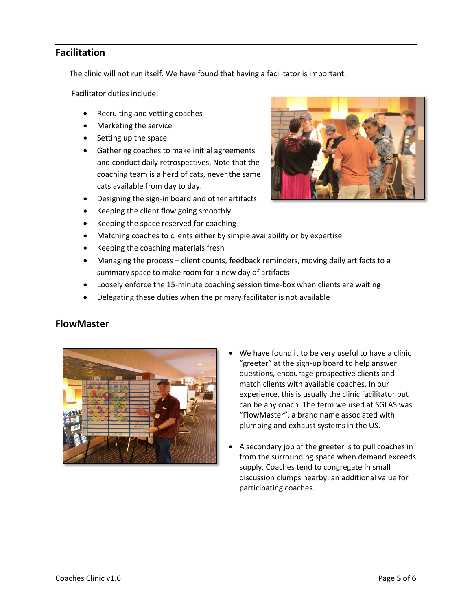## **Facilitation**

The clinic will not run itself. We have found that having a facilitator is important.

Facilitator duties include:

- Recruiting and vetting coaches
- Marketing the service
- Setting up the space
- Gathering coaches to make initial agreements and conduct daily retrospectives. Note that the coaching team is a herd of cats, never the same cats available from day to day.
- Designing the sign-in board and other artifacts
- Keeping the client flow going smoothly
- Keeping the space reserved for coaching
- Matching coaches to clients either by simple availability or by expertise
- Keeping the coaching materials fresh
- Managing the process client counts, feedback reminders, moving daily artifacts to a summary space to make room for a new day of artifacts
- Loosely enforce the 15-minute coaching session time-box when clients are waiting
- Delegating these duties when the primary facilitator is not available

### **FlowMaster**



- We have found it to be very useful to have a clinic "greeter" at the sign-up board to help answer questions, encourage prospective clients and match clients with available coaches. In our experience, this is usually the clinic facilitator but can be any coach. The term we used at SGLAS was "FlowMaster", a brand name associated with plumbing and exhaust systems in the US.
- A secondary job of the greeter is to pull coaches in from the surrounding space when demand exceeds supply. Coaches tend to congregate in small discussion clumps nearby, an additional value for participating coaches.